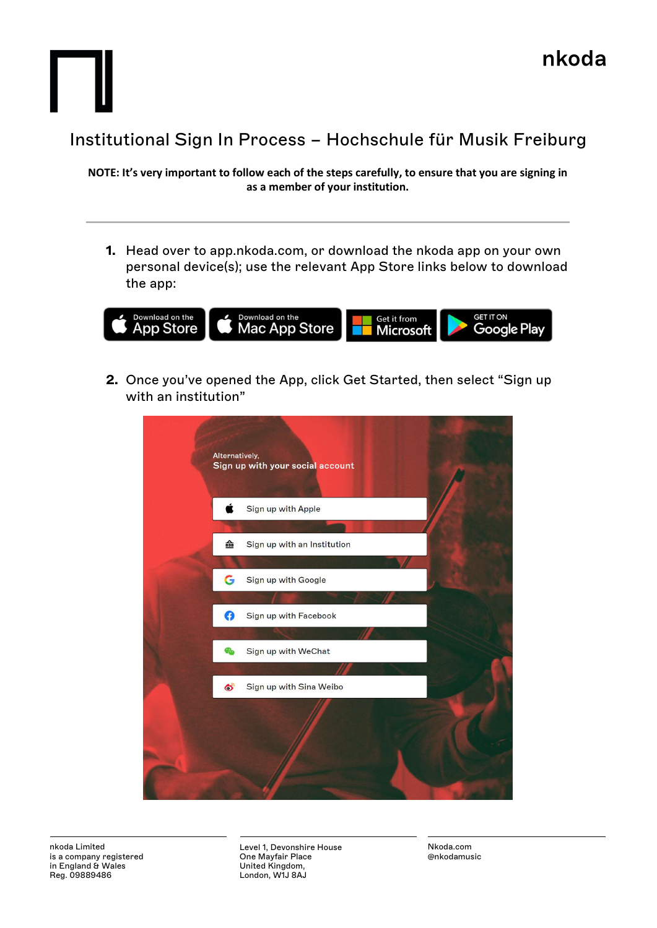

NOTE: It's very important to follow each of the steps carefully, to ensure that you are signing in as a member of your institution.

1. Head over to app.nkoda.com, or download the nkoda app on your own personal device(s); use the relevant App Store links below to download the app:



2. Once you've opened the App, click Get Started, then select "Sign up with an institution"



Level 1, Devonshire House One Mayfair Place United Kingdom, London, W1J 8AJ

Nkoda.com @nkodamusic